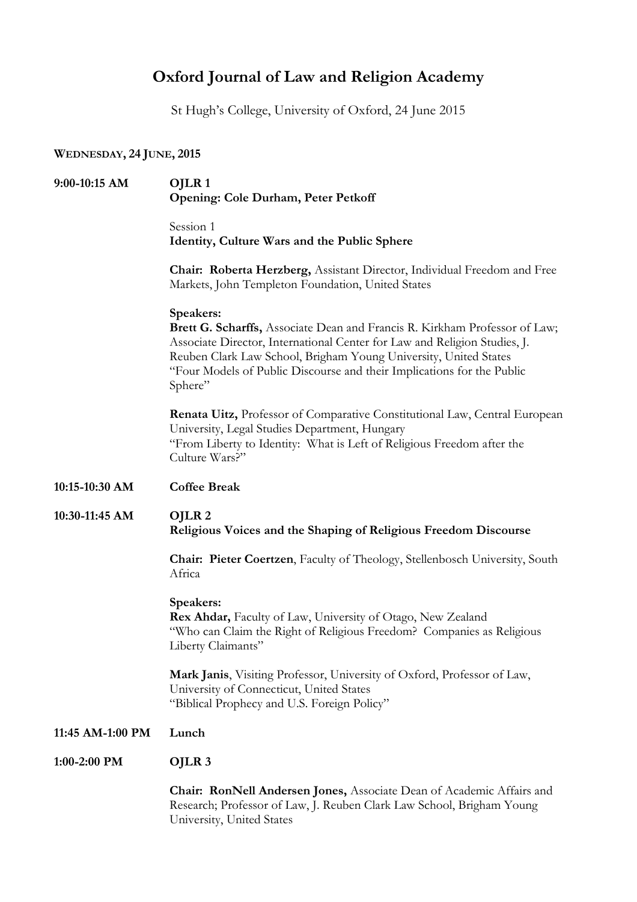### **Oxford Journal of Law and Religion Academy**

St Hugh's College, University of Oxford, 24 June 2015

#### **WEDNESDAY, 24 JUNE, 2015**

## **9:00-10:15 AM OJLR 1 Opening: Cole Durham, Peter Petkoff** Session 1 **Identity, Culture Wars and the Public Sphere Chair: Roberta Herzberg,** Assistant Director, Individual Freedom and Free Markets, John Templeton Foundation, United States **Speakers: Brett G. Scharffs,** Associate Dean and Francis R. Kirkham Professor of Law; Associate Director, International Center for Law and Religion Studies, J. Reuben Clark Law School, Brigham Young University, United States "Four Models of Public Discourse and their Implications for the Public Sphere" **Renata Uitz,** Professor of Comparative Constitutional Law, Central European University, Legal Studies Department, Hungary "From Liberty to Identity: What is Left of Religious Freedom after the Culture Wars?" **10:15-10:30 AM Coffee Break 10:30-11:45 AM OJLR 2 Religious Voices and the Shaping of Religious Freedom Discourse Chair: Pieter Coertzen**, Faculty of Theology, Stellenbosch University, South Africa **Speakers: Rex Ahdar,** Faculty of Law, University of Otago, New Zealand "Who can Claim the Right of Religious Freedom? Companies as Religious Liberty Claimants" **Mark Janis**, Visiting Professor, University of Oxford, Professor of Law, University of Connecticut, United States "Biblical Prophecy and U.S. Foreign Policy" **11:45 AM-1:00 PM Lunch 1:00-2:00 PM OJLR 3 Chair: RonNell Andersen Jones,** Associate Dean of Academic Affairs and Research; Professor of Law, J. Reuben Clark Law School, Brigham Young

University, United States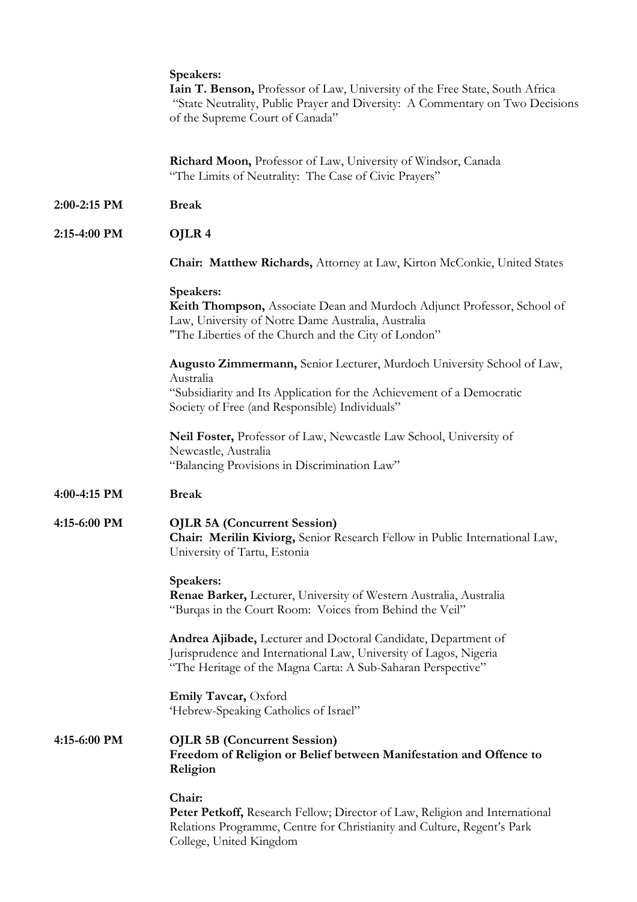|              | Speakers:<br>Iain T. Benson, Professor of Law, University of the Free State, South Africa<br>"State Neutrality, Public Prayer and Diversity: A Commentary on Two Decisions<br>of the Supreme Court of Canada"  |
|--------------|----------------------------------------------------------------------------------------------------------------------------------------------------------------------------------------------------------------|
|              | Richard Moon, Professor of Law, University of Windsor, Canada<br>"The Limits of Neutrality: The Case of Civic Prayers"                                                                                         |
| 2:00-2:15 PM | <b>Break</b>                                                                                                                                                                                                   |
| 2:15-4:00 PM | OJLR <sub>4</sub>                                                                                                                                                                                              |
|              | <b>Chair: Matthew Richards, Attorney at Law, Kirton McConkie, United States</b>                                                                                                                                |
|              | Speakers:<br>Keith Thompson, Associate Dean and Murdoch Adjunct Professor, School of<br>Law, University of Notre Dame Australia, Australia<br>"The Liberties of the Church and the City of London"             |
|              | Augusto Zimmermann, Senior Lecturer, Murdoch University School of Law,<br>Australia<br>"Subsidiarity and Its Application for the Achievement of a Democratic<br>Society of Free (and Responsible) Individuals" |
|              | Neil Foster, Professor of Law, Newcastle Law School, University of<br>Newcastle, Australia<br>"Balancing Provisions in Discrimination Law"                                                                     |
| 4:00-4:15 PM | <b>Break</b>                                                                                                                                                                                                   |
| 4:15-6:00 PM | <b>OJLR 5A (Concurrent Session)</b><br>Chair: Merilin Kiviorg, Senior Research Fellow in Public International Law,<br>University of Tartu, Estonia                                                             |
|              | Speakers:<br>Renae Barker, Lecturer, University of Western Australia, Australia<br>"Burqas in the Court Room: Voices from Behind the Veil"                                                                     |
|              | Andrea Ajibade, Lecturer and Doctoral Candidate, Department of<br>Jurisprudence and International Law, University of Lagos, Nigeria<br>"The Heritage of the Magna Carta: A Sub-Saharan Perspective"            |
|              | Emily Tavcar, Oxford<br>'Hebrew-Speaking Catholics of Israel"                                                                                                                                                  |
| 4:15-6:00 PM | <b>OJLR 5B (Concurrent Session)</b><br>Freedom of Religion or Belief between Manifestation and Offence to<br>Religion                                                                                          |
|              | Chair:<br>Peter Petkoff, Research Fellow; Director of Law, Religion and International<br>Relations Programme, Centre for Christianity and Culture, Regent's Park<br>College, United Kingdom                    |